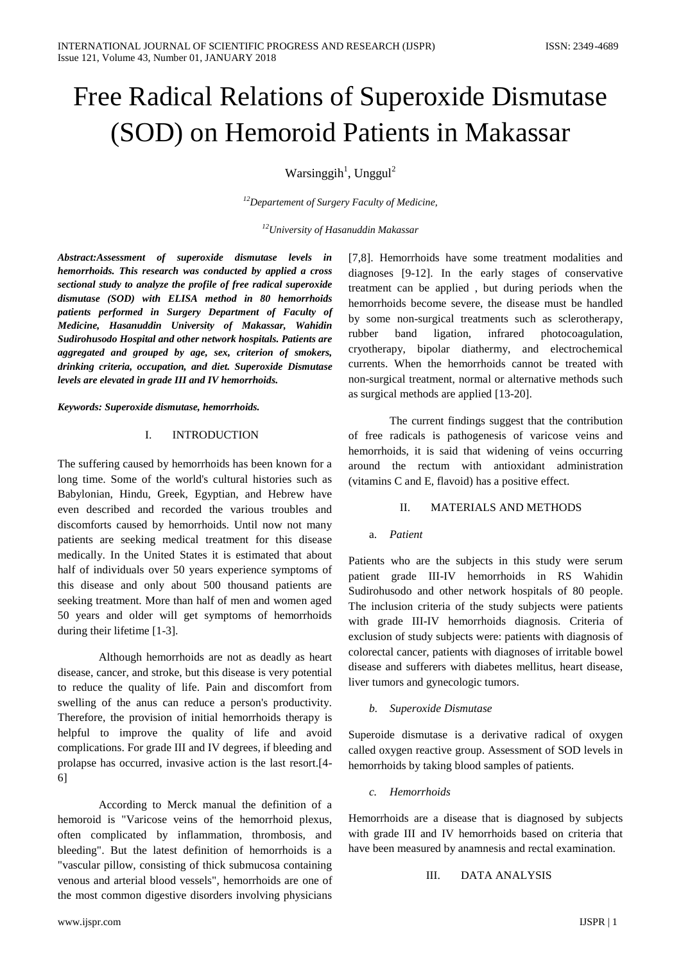# Free Radical Relations of Superoxide Dismutase (SOD) on Hemoroid Patients in Makassar

Warsinggih<sup>1</sup>, Unggul<sup>2</sup>

*<sup>12</sup>Departement of Surgery Faculty of Medicine,*

*<sup>12</sup>University of Hasanuddin Makassar*

*Abstract:Assessment of superoxide dismutase levels in hemorrhoids. This research was conducted by applied a cross sectional study to analyze the profile of free radical superoxide dismutase (SOD) with ELISA method in 80 hemorrhoids patients performed in Surgery Department of Faculty of Medicine, Hasanuddin University of Makassar, Wahidin Sudirohusodo Hospital and other network hospitals. Patients are aggregated and grouped by age, sex, criterion of smokers, drinking criteria, occupation, and diet. Superoxide Dismutase levels are elevated in grade III and IV hemorrhoids.*

*Keywords: Superoxide dismutase, hemorrhoids.*

#### I. INTRODUCTION

The suffering caused by hemorrhoids has been known for a long time. Some of the world's cultural histories such as Babylonian, Hindu, Greek, Egyptian, and Hebrew have even described and recorded the various troubles and discomforts caused by hemorrhoids. Until now not many patients are seeking medical treatment for this disease medically. In the United States it is estimated that about half of individuals over 50 years experience symptoms of this disease and only about 500 thousand patients are seeking treatment. More than half of men and women aged 50 years and older will get symptoms of hemorrhoids during their lifetime [1-3].

Although hemorrhoids are not as deadly as heart disease, cancer, and stroke, but this disease is very potential to reduce the quality of life. Pain and discomfort from swelling of the anus can reduce a person's productivity. Therefore, the provision of initial hemorrhoids therapy is helpful to improve the quality of life and avoid complications. For grade III and IV degrees, if bleeding and prolapse has occurred, invasive action is the last resort.[4- 6]

According to Merck manual the definition of a hemoroid is "Varicose veins of the hemorrhoid plexus, often complicated by inflammation, thrombosis, and bleeding". But the latest definition of hemorrhoids is a "vascular pillow, consisting of thick submucosa containing venous and arterial blood vessels", hemorrhoids are one of the most common digestive disorders involving physicians [7,8]. Hemorrhoids have some treatment modalities and diagnoses [9-12]. In the early stages of conservative treatment can be applied , but during periods when the hemorrhoids become severe, the disease must be handled by some non-surgical treatments such as sclerotherapy, rubber band ligation, infrared photocoagulation, cryotherapy, bipolar diathermy, and electrochemical currents. When the hemorrhoids cannot be treated with non-surgical treatment, normal or alternative methods such as surgical methods are applied [13-20].

The current findings suggest that the contribution of free radicals is pathogenesis of varicose veins and hemorrhoids, it is said that widening of veins occurring around the rectum with antioxidant administration (vitamins C and E, flavoid) has a positive effect.

## II. MATERIALS AND METHODS

# a. *Patient*

Patients who are the subjects in this study were serum patient grade III-IV hemorrhoids in RS Wahidin Sudirohusodo and other network hospitals of 80 people. The inclusion criteria of the study subjects were patients with grade III-IV hemorrhoids diagnosis. Criteria of exclusion of study subjects were: patients with diagnosis of colorectal cancer, patients with diagnoses of irritable bowel disease and sufferers with diabetes mellitus, heart disease, liver tumors and gynecologic tumors.

## *b. Superoxide Dismutase*

Superoide dismutase is a derivative radical of oxygen called oxygen reactive group. Assessment of SOD levels in hemorrhoids by taking blood samples of patients.

*c. Hemorrhoids*

Hemorrhoids are a disease that is diagnosed by subjects with grade III and IV hemorrhoids based on criteria that have been measured by anamnesis and rectal examination.

III. DATA ANALYSIS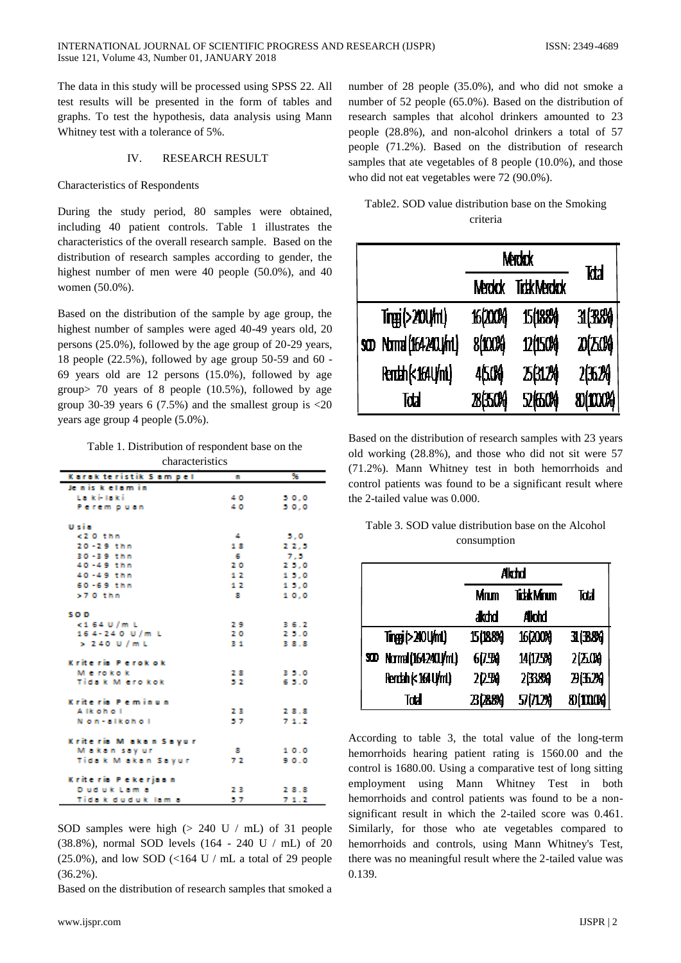The data in this study will be processed using SPSS 22. All test results will be presented in the form of tables and graphs. To test the hypothesis, data analysis using Mann Whitney test with a tolerance of 5%.

#### IV. RESEARCH RESULT

#### Characteristics of Respondents

During the study period, 80 samples were obtained, including 40 patient controls. Table 1 illustrates the characteristics of the overall research sample. Based on the distribution of research samples according to gender, the highest number of men were 40 people (50.0%), and 40 women (50.0%).

Based on the distribution of the sample by age group, the highest number of samples were aged 40-49 years old, 20 persons (25.0%), followed by the age group of 20-29 years, 18 people (22.5%), followed by age group 50-59 and 60 - 69 years old are 12 persons (15.0%), followed by age group> 70 years of 8 people (10.5%), followed by age group 30-39 years 6 (7.5%) and the smallest group is  $\langle 20 \rangle$ years age group 4 people (5.0%).

Table 1. Distribution of respondent base on the

| characteristics         |    |       |  |  |
|-------------------------|----|-------|--|--|
| Karak teristik 5 am pel | п  | 96    |  |  |
| Jeniskelamin            |    |       |  |  |
| La ki-laki              | 40 | 50.0  |  |  |
| Perem puan              | 40 | 50.0  |  |  |
| Usia                    |    |       |  |  |
| <2 0 thm                | 4  | 5.0   |  |  |
| $20 - 29$ thm           | 18 | 22,5  |  |  |
| 30-39 thm               | -6 | 7.5   |  |  |
| $40 - 49$ thm           | 20 | 25.0  |  |  |
| 40-49 thm               | 12 | 1.5.0 |  |  |
| $60 - 69$ thm           | 12 | 1.5.0 |  |  |
| $>70$ thm               | 8  | 10.0  |  |  |
| SO <sub>D</sub>         |    |       |  |  |
| $<$ 164 U/m L           | 29 | 36.2  |  |  |
| 164-240 U/m L           | 20 | 25.0  |  |  |
| $> 240$ U/ml            | 31 | 38.8  |  |  |
| Kriteria Perokok        |    |       |  |  |
| Merokok                 | 28 | 35.0  |  |  |
| Tida k M ero kok        | 52 | 65.0  |  |  |
| Kriteria Peminun        |    |       |  |  |
| Alkohol                 | 23 | 28.8  |  |  |
| Non-alkohol             | 57 | 71.2  |  |  |
| Kriteria Makan Sayar    |    |       |  |  |
| Makan sayur             | 8  | 10.0  |  |  |
| Tidak Makan Sayur       | 72 | 90.0  |  |  |
| Kriteria Pekerjaan      |    |       |  |  |
| Duduk Lama              | 23 | 28.8  |  |  |
| Tida k duduk lam a      | 57 | 71.2  |  |  |

SOD samples were high (> 240 U / mL) of 31 people (38.8%), normal SOD levels (164 - 240 U / mL) of 20  $(25.0\%)$ , and low SOD (<164 U / mL a total of 29 people (36.2%).

Based on the distribution of research samples that smoked a

number of 28 people (35.0%), and who did not smoke a number of 52 people (65.0%). Based on the distribution of research samples that alcohol drinkers amounted to 23 people (28.8%), and non-alcohol drinkers a total of 57 people (71.2%). Based on the distribution of research samples that ate vegetables of 8 people (10.0%), and those who did not eat vegetables were 72 (90.0%).

|  |          |  | Table 2. SOD value distribution base on the Smoking |
|--|----------|--|-----------------------------------------------------|
|  | criteria |  |                                                     |

|                         | Merdrok                            | kła      |                  |
|-------------------------|------------------------------------|----------|------------------|
|                         | <b>TidkMerdak</b><br><b>Marokk</b> |          |                  |
| Trgg(>20U/m)            | <b>16(200%)</b>                    | 15位884   | 31(3884)         |
| soo Normal (1642401/ml) | 8(100%)                            | 12(150%) | 20(25.0%)        |
| Renth(<164U/mL)         | 45.0%                              | 25(312)  | 2(五2)            |
| Tdal                    | <b>28(350%)</b>                    | 52 伍04   | <b>80(1000%)</b> |

Based on the distribution of research samples with 23 years old working (28.8%), and those who did not sit were 57 (71.2%). Mann Whitney test in both hemorrhoids and control patients was found to be a significant result where the 2-tailed value was 0.000.

| Table 3. SOD value distribution base on the Alcohol |
|-----------------------------------------------------|
| consumption                                         |

|     |                     |            | <b>Akchd</b>       |             |
|-----|---------------------|------------|--------------------|-------------|
|     |                     | Mnm        | <b>Tickk Minum</b> | Tatal       |
|     |                     | akdid      | <b>Alchd</b>       |             |
|     | Tingg(>20U/mL)      | 15(188%)   | 16(200%)           | 31 (38%)    |
| SID | Normal (164240J/mL) | 6(7.5%)    | 14(17.5%)          | 2区(0)       |
|     | Rendah (< 164 U/mL) | 20.5M      | 2338%              | 20,320      |
|     | Tatal               | 23 (28.8%) | 57(712%)           | 80 (100 06) |

According to table 3, the total value of the long-term hemorrhoids hearing patient rating is 1560.00 and the control is 1680.00. Using a comparative test of long sitting employment using Mann Whitney Test in both hemorrhoids and control patients was found to be a nonsignificant result in which the 2-tailed score was 0.461. Similarly, for those who ate vegetables compared to hemorrhoids and controls, using Mann Whitney's Test, there was no meaningful result where the 2-tailed value was 0.139.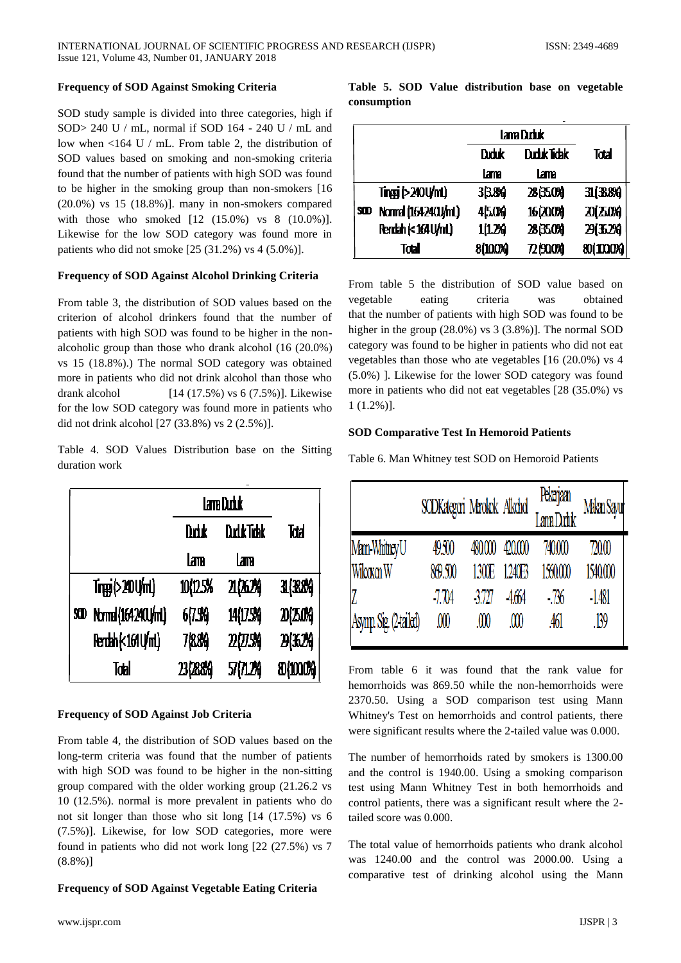#### **Frequency of SOD Against Smoking Criteria**

SOD study sample is divided into three categories, high if SOD> 240 U / mL, normal if SOD 164 - 240 U / mL and low when <164 U / mL. From table 2, the distribution of SOD values based on smoking and non-smoking criteria found that the number of patients with high SOD was found to be higher in the smoking group than non-smokers [16 (20.0%) vs 15 (18.8%)]. many in non-smokers compared with those who smoked [12 (15.0%) vs 8 (10.0%)]. Likewise for the low SOD category was found more in patients who did not smoke [25 (31.2%) vs 4 (5.0%)].

#### **Frequency of SOD Against Alcohol Drinking Criteria**

From table 3, the distribution of SOD values based on the criterion of alcohol drinkers found that the number of patients with high SOD was found to be higher in the nonalcoholic group than those who drank alcohol (16 (20.0%) vs 15 (18.8%).) The normal SOD category was obtained more in patients who did not drink alcohol than those who drank alcohol [14 (17.5%) vs 6 (7.5%)]. Likewise for the low SOD category was found more in patients who did not drink alcohol [27 (33.8%) vs 2 (2.5%)].

Table 4. SOD Values Distribution base on the Sitting duration work

|    |                     | lam Duduk                |            |             |
|----|---------------------|--------------------------|------------|-------------|
|    |                     | <b>DutkTidsk</b><br>Drik |            | Tdal        |
|    |                     | lam                      | lam        |             |
|    | Trug(>20U/mL)       | 10(12.5%                 | 21,062%    | 31 (38%)    |
| SD | Normal (1642401/ml) | 67.54                    | 14(175%)   | 20(25.0%)   |
|    | Rendah (< 164 U/ml) | 7084                     | 2025%      | 24324       |
|    | Tobl                | 23(2884)                 | 57 (71.2%) | 80 (100.0%) |

#### **Frequency of SOD Against Job Criteria**

From table 4, the distribution of SOD values based on the long-term criteria was found that the number of patients with high SOD was found to be higher in the non-sitting group compared with the older working group (21.26.2 vs 10 (12.5%). normal is more prevalent in patients who do not sit longer than those who sit long [14 (17.5%) vs 6 (7.5%)]. Likewise, for low SOD categories, more were found in patients who did not work long [22 (27.5%) vs 7 (8.8%)]

#### **Frequency of SOD Against Vegetable Eating Criteria**

|             |  | Table 5. SOD Value distribution base on vegetable |  |  |
|-------------|--|---------------------------------------------------|--|--|
| consumption |  |                                                   |  |  |

|     |                     | Lama Duduk          |           |           |
|-----|---------------------|---------------------|-----------|-----------|
|     |                     | Duduk Tidak<br>Drhk |           | Total     |
|     |                     | Lama                | Lama      |           |
|     | Tings (>240 U/ml)   | 33.8%               | 28 350%   | 31(38%)   |
| SID | Normal (164240J/mL) | 45.0Kg              | 16 (200%) | 20(25.0%) |
|     | Rendah (< 164 U/mL) | 1(1.2%)             | 28(350%)  | 29(35.2%) |
|     | Total               | 8(10.0%)            | 721900%   | 80(1000%) |

From table 5 the distribution of SOD value based on vegetable eating criteria was obtained that the number of patients with high SOD was found to be higher in the group (28.0%) vs 3 (3.8%)]. The normal SOD category was found to be higher in patients who did not eat vegetables than those who ate vegetables [16 (20.0%) vs 4 (5.0%) ]. Likewise for the lower SOD category was found more in patients who did not eat vegetables [28 (35.0%) vs 1 (1.2%)].

#### **SOD Comparative Test In Hemoroid Patients**

Table 6. Man Whitney test SOD on Hemoroid Patients

|                        | SODKategori Marokok Alkohol |         |          | Pekarjaan<br>Lama Duduk | <b>Mikan Sayu</b> |
|------------------------|-----------------------------|---------|----------|-------------------------|-------------------|
| Man Whitney U          | 49.500                      | 480.000 | 420.000  | 740.000                 | 720.00            |
| Wilcoxon W             | 869.500                     | 1300E   | 1240F3   | 150.000                 | 1540,000          |
|                        | -7.TV4                      | 3727    | 4664     | - 736                   | $-1481$           |
| Asymp. Sig. (2 tailed) | ⅏                           | .co     | $\omega$ | .461                    | . 139             |

From table 6 it was found that the rank value for hemorrhoids was 869.50 while the non-hemorrhoids were 2370.50. Using a SOD comparison test using Mann Whitney's Test on hemorrhoids and control patients, there were significant results where the 2-tailed value was 0.000.

The number of hemorrhoids rated by smokers is 1300.00 and the control is 1940.00. Using a smoking comparison test using Mann Whitney Test in both hemorrhoids and control patients, there was a significant result where the 2 tailed score was 0.000.

The total value of hemorrhoids patients who drank alcohol was 1240.00 and the control was 2000.00. Using a comparative test of drinking alcohol using the Mann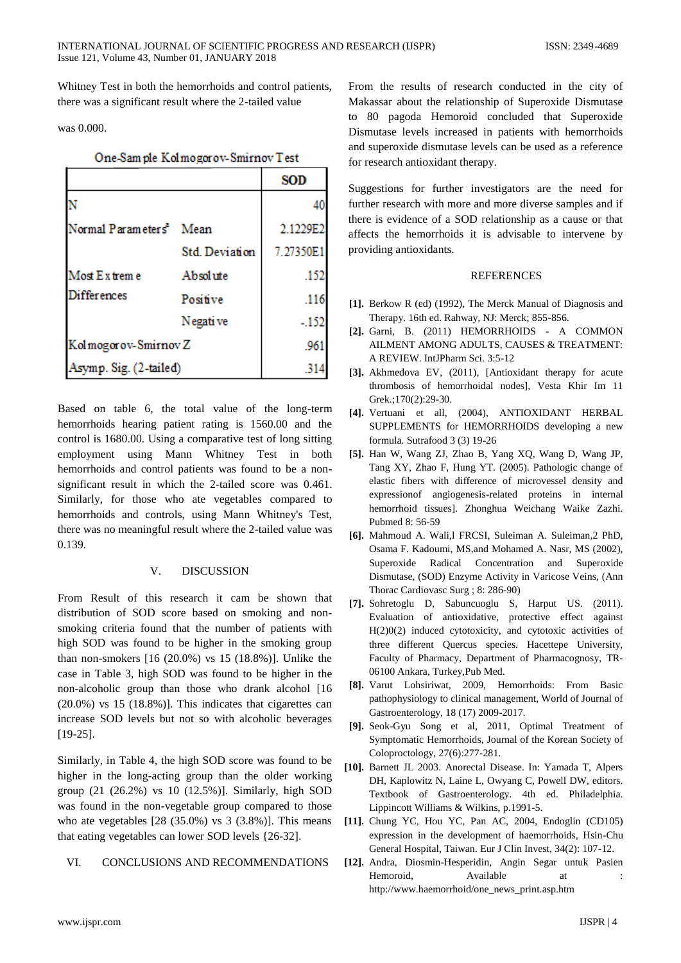Whitney Test in both the hemorrhoids and control patients, there was a significant result where the 2-tailed value

was 0.000.

# One-Sample Kolmogorov-Smirnov Test

|                                     |                | <b>SOD</b> |
|-------------------------------------|----------------|------------|
|                                     |                | 40         |
| Normal Parameters <sup>a</sup> Mean |                | 2.1229E2   |
|                                     | Std. Deviation | 7.27350E1  |
| Most Extreme                        | Absolute       | .152       |
| <b>Differences</b>                  | Positive       | .116       |
|                                     | Negati ve      | $-152$     |
| Kolmogorov-Smirnov Z                |                | .96        |
| Asymp. Sig. (2-tailed)              |                | .314       |

Based on table 6, the total value of the long-term hemorrhoids hearing patient rating is 1560.00 and the control is 1680.00. Using a comparative test of long sitting employment using Mann Whitney Test in both hemorrhoids and control patients was found to be a nonsignificant result in which the 2-tailed score was 0.461. Similarly, for those who ate vegetables compared to hemorrhoids and controls, using Mann Whitney's Test, there was no meaningful result where the 2-tailed value was 0.139.

## V. DISCUSSION

From Result of this research it cam be shown that distribution of SOD score based on smoking and nonsmoking criteria found that the number of patients with high SOD was found to be higher in the smoking group than non-smokers [16 (20.0%) vs 15 (18.8%)]. Unlike the case in Table 3, high SOD was found to be higher in the non-alcoholic group than those who drank alcohol [16 (20.0%) vs 15 (18.8%)]. This indicates that cigarettes can increase SOD levels but not so with alcoholic beverages [19-25].

Similarly, in Table 4, the high SOD score was found to be higher in the long-acting group than the older working group (21 (26.2%) vs 10 (12.5%)]. Similarly, high SOD was found in the non-vegetable group compared to those who ate vegetables  $[28 (35.0\%)$  vs  $3 (3.8\%)$ ]. This means that eating vegetables can lower SOD levels {26-32].

# VI. CONCLUSIONS AND RECOMMENDATIONS

From the results of research conducted in the city of Makassar about the relationship of Superoxide Dismutase to 80 pagoda Hemoroid concluded that Superoxide Dismutase levels increased in patients with hemorrhoids and superoxide dismutase levels can be used as a reference for research antioxidant therapy.

Suggestions for further investigators are the need for further research with more and more diverse samples and if there is evidence of a SOD relationship as a cause or that affects the hemorrhoids it is advisable to intervene by providing antioxidants.

#### REFERENCES

- **[1].** Berkow R (ed) (1992), The Merck Manual of Diagnosis and Therapy. 16th ed. Rahway, NJ: Merck; 855-856.
- **[2].** Garni, B. (2011) HEMORRHOIDS A COMMON AILMENT AMONG ADULTS, CAUSES & TREATMENT: A REVIEW. IntJPharm Sci. 3:5-12
- **[3].** Akhmedova EV, (2011), [Antioxidant therapy for acute thrombosis of hemorrhoidal nodes], Vesta Khir Im 11 Grek.;170(2):29-30.
- **[4].** Vertuani et all, (2004), ANTIOXIDANT HERBAL SUPPLEMENTS for HEMORRHOIDS developing a new formula. Sutrafood 3 (3) 19-26
- **[5].** Han W, Wang ZJ, Zhao B, Yang XQ, Wang D, Wang JP, Tang XY, Zhao F, Hung YT. (2005). Pathologic change of elastic fibers with difference of microvessel density and expressionof angiogenesis-related proteins in internal hemorrhoid tissues]. Zhonghua Weichang Waike Zazhi. Pubmed 8: 56-59
- **[6].** Mahmoud A. Wali,l FRCSI, Suleiman A. Suleiman,2 PhD, Osama F. Kadoumi, MS,and Mohamed A. Nasr, MS (2002), Superoxide Radical Concentration and Superoxide Dismutase, (SOD) Enzyme Activity in Varicose Veins, (Ann Thorac Cardiovasc Surg ; 8: 286-90)
- **[7].** Sohretoglu D, Sabuncuoglu S, Harput US. (2011). Evaluation of antioxidative, protective effect against H(2)0(2) induced cytotoxicity, and cytotoxic activities of three different Quercus species. Hacettepe University, Faculty of Pharmacy, Department of Pharmacognosy, TR-06100 Ankara, Turkey,Pub Med.
- **[8].** Varut Lohsiriwat, 2009, Hemorrhoids: From Basic pathophysiology to clinical management, World of Journal of Gastroenterology, 18 (17) 2009-2017.
- **[9].** Seok-Gyu Song et al, 2011, Optimal Treatment of Symptomatic Hemorrhoids, Journal of the Korean Society of Coloproctology, 27(6):277-281.
- **[10].** Barnett JL 2003. Anorectal Disease. In: Yamada T, Alpers DH, Kaplowitz N, Laine L, Owyang C, Powell DW, editors. Textbook of Gastroenterology. 4th ed. Philadelphia. Lippincott Williams & Wilkins, p.1991-5.
- **[11].** Chung YC, Hou YC, Pan AC, 2004, Endoglin (CD105) expression in the development of haemorrhoids, Hsin-Chu General Hospital, Taiwan. Eur J Clin Invest, 34(2): 107-12.
- **[12].** Andra, Diosmin-Hesperidin, Angin Segar untuk Pasien Hemoroid, Available at : http://www.haemorrhoid/one\_news\_print.asp.htm